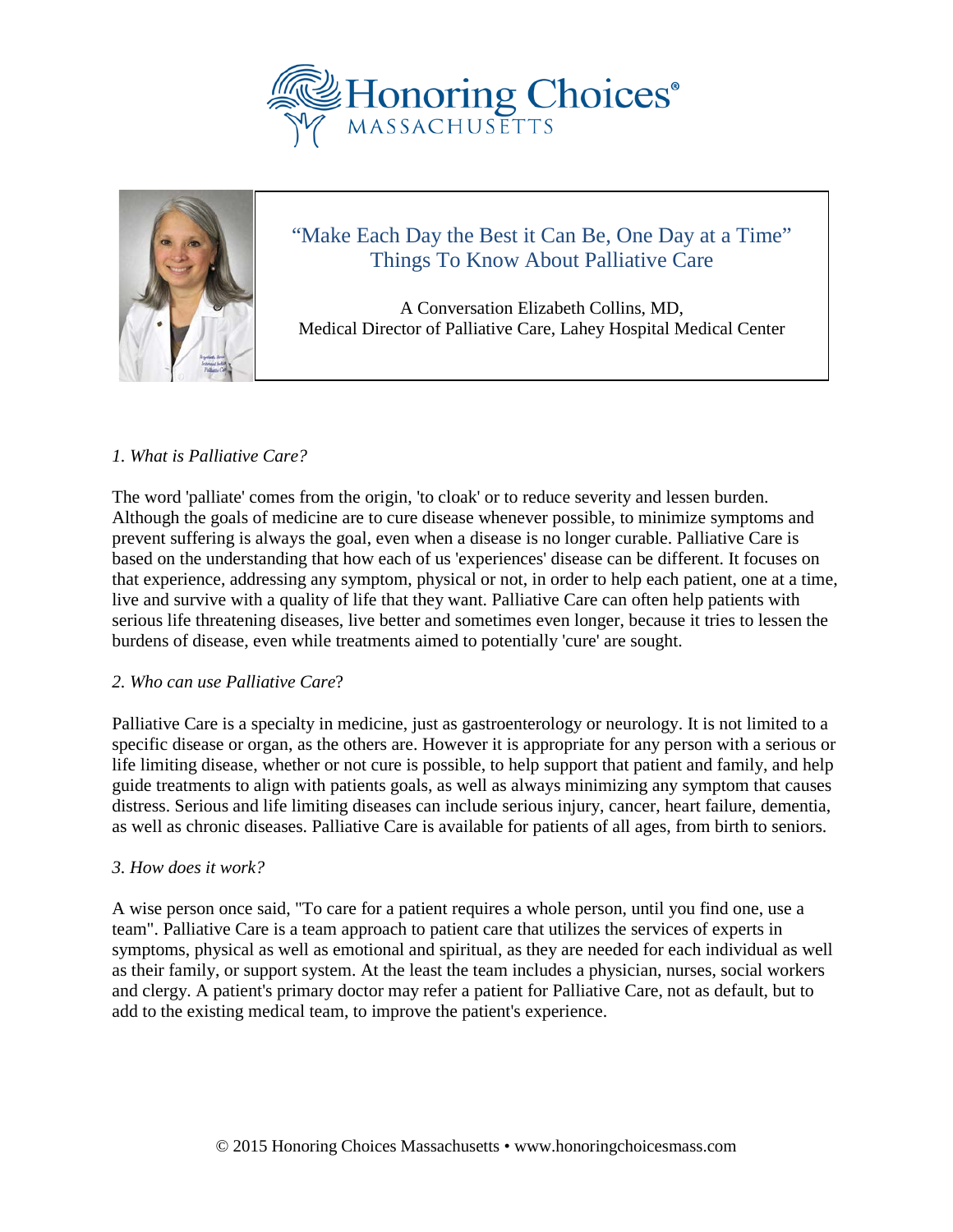



# "Make Each Day the Best it Can Be, One Day at a Time" Things To Know About Palliative Care

A Conversation Elizabeth Collins, MD, Medical Director of Palliative Care, Lahey Hospital Medical Center

## *1. What is Palliative Care?*

The word 'palliate' comes from the origin, 'to cloak' or to reduce severity and lessen burden. Although the goals of medicine are to cure disease whenever possible, to minimize symptoms and prevent suffering is always the goal, even when a disease is no longer curable. Palliative Care is based on the understanding that how each of us 'experiences' disease can be different. It focuses on that experience, addressing any symptom, physical or not, in order to help each patient, one at a time, live and survive with a quality of life that they want. Palliative Care can often help patients with serious life threatening diseases, live better and sometimes even longer, because it tries to lessen the burdens of disease, even while treatments aimed to potentially 'cure' are sought.

### *2. Who can use Palliative Care*?

Palliative Care is a specialty in medicine, just as gastroenterology or neurology. It is not limited to a specific disease or organ, as the others are. However it is appropriate for any person with a serious or life limiting disease, whether or not cure is possible, to help support that patient and family, and help guide treatments to align with patients goals, as well as always minimizing any symptom that causes distress. Serious and life limiting diseases can include serious injury, cancer, heart failure, dementia, as well as chronic diseases. Palliative Care is available for patients of all ages, from birth to seniors.

### *3. How does it work?*

A wise person once said, "To care for a patient requires a whole person, until you find one, use a team". Palliative Care is a team approach to patient care that utilizes the services of experts in symptoms, physical as well as emotional and spiritual, as they are needed for each individual as well as their family, or support system. At the least the team includes a physician, nurses, social workers and clergy. A patient's primary doctor may refer a patient for Palliative Care, not as default, but to add to the existing medical team, to improve the patient's experience.